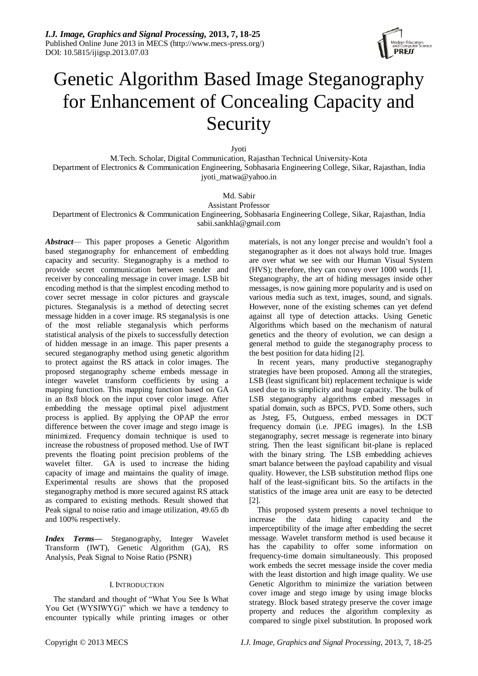*I.J. Image, Graphics and Signal Processing,* **2013, 7, 18-25** Published Online June 2013 in MECS (http://www.mecs-press.org/) DOI: 10.5815/ijigsp.2013.07.03



# Genetic Algorithm Based Image Steganography for Enhancement of Concealing Capacity and Security

Jyoti

M.Tech. Scholar, Digital Communication, Rajasthan Technical University-Kota Department of Electronics & Communication Engineering, Sobhasaria Engineering College, Sikar, Rajasthan, India jyoti\_matwa@yahoo.in

# Md. Sabir

Assistant Professor

Department of Electronics & Communication Engineering, Sobhasaria Engineering College, Sikar, Rajasthan, India [sabii.sankhla@g](mailto:sabii.sankhla@)mail.com

*Abstract*— This paper proposes a Genetic Algorithm based steganography for enhancement of embedding capacity and security. Steganography is a method to provide secret communication between sender and receiver by concealing message in cover image. LSB bit encoding method is that the simplest encoding method to cover secret message in color pictures and grayscale pictures. Steganalysis is a method of detecting secret message hidden in a cover image. RS steganalysis is one of the most reliable steganalysis which performs statistical analysis of the pixels to successfully detection of hidden message in an image. This paper presents a secured steganography method using genetic algorithm to protect against the RS attack in color images. The proposed steganography scheme embeds message in integer wavelet transform coefficients by using a mapping function. This mapping function based on GA in an 8x8 block on the input cover color image. After embedding the message optimal pixel adjustment process is applied. By applying the OPAP the error difference between the cover image and stego image is minimized. Frequency domain technique is used to increase the robustness of proposed method. Use of IWT prevents the floating point precision problems of the wavelet filter. GA is used to increase the hiding capacity of image and maintains the quality of image. Experimental results are shows that the proposed steganography method is more secured against RS attack as compared to existing methods. Result showed that Peak signal to noise ratio and image utilization, 49.65 db and 100% respectively.

*Index Terms—* Steganography, Integer Wavelet Transform (IWT), Genetic Algorithm (GA), RS Analysis, Peak Signal to Noise Ratio (PSNR)

# I. INTRODUCTION

The standard and thought of "What You See Is What You Get (WYSIWYG)" which we have a tendency to encounter typically while printing images or other

materials, is not any longer precise and wouldn't fool a steganographer as it does not always hold true. Images are over what we see with our Human Visual System (HVS); therefore, they can convey over 1000 words [1]. Steganography, the art of hiding messages inside other messages, is now gaining more popularity and is used on various media such as text, images, sound, and signals. However, none of the existing schemes can yet defend against all type of detection attacks. Using Genetic Algorithms which based on the mechanism of natural genetics and the theory of evolution, we can design a general method to guide the steganography process to the best position for data hiding [2].

In recent years, many productive steganography strategies have been proposed. Among all the strategies, LSB (least significant bit) replacement technique is wide used due to its simplicity and huge capacity. The bulk of LSB steganography algorithms embed messages in spatial domain, such as BPCS, PVD. Some others, such as Jsteg, F5, Outguess, embed messages in DCT frequency domain (i.e. JPEG images). In the LSB steganography, secret message is regenerate into binary string. Then the least significant bit-plane is replaced with the binary string. The LSB embedding achieves smart balance between the payload capability and visual quality. However, the LSB substitution method flips one half of the least-significant bits. So the artifacts in the statistics of the image area unit are easy to be detected [2].

This proposed system presents a novel technique to increase the data hiding capacity and the imperceptibility of the image after embedding the secret message. Wavelet transform method is used because it has the capability to offer some information on frequency-time domain simultaneously. This proposed work embeds the secret message inside the cover media with the least distortion and high image quality. We use Genetic Algorithm to minimize the variation between cover image and stego image by using image blocks strategy. Block based strategy preserve the cover image property and reduces the algorithm complexity as compared to single pixel substitution. In proposed work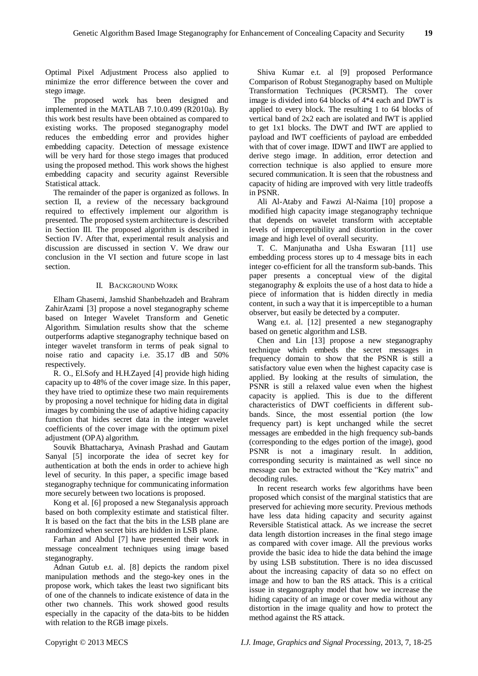Optimal Pixel Adjustment Process also applied to minimize the error difference between the cover and stego image.

The proposed work has been designed and implemented in the MATLAB 7.10.0.499 (R2010a). By this work best results have been obtained as compared to existing works. The proposed steganography model reduces the embedding error and provides higher embedding capacity. Detection of message existence will be very hard for those stego images that produced using the proposed method. This work shows the highest embedding capacity and security against Reversible Statistical attack.

The remainder of the paper is organized as follows. In section II, a review of the necessary background required to effectively implement our algorithm is presented. The proposed system architecture is described in Section III. The proposed algorithm is described in Section IV. After that, experimental result analysis and discussion are discussed in section V. We draw our conclusion in the VI section and future scope in last section.

# II. BACKGROUND WORK

Elham Ghasemi, Jamshid Shanbehzadeh and Brahram ZahirAzami [3] propose a novel steganography scheme based on Integer Wavelet Transform and Genetic Algorithm. Simulation results show that the scheme outperforms adaptive steganography technique based on integer wavelet transform in terms of peak signal to noise ratio and capacity i.e. 35.17 dB and 50% respectively.

R. O., El.Sofy and H.H.Zayed [4] provide high hiding capacity up to 48% of the cover image size. In this paper, they have tried to optimize these two main requirements by proposing a novel technique for hiding data in digital images by combining the use of adaptive hiding capacity function that hides secret data in the integer wavelet coefficients of the cover image with the optimum pixel adjustment (OPA) algorithm.

Souvik Bhattacharya, Avinash Prashad and Gautam Sanyal [5] incorporate the idea of secret key for authentication at both the ends in order to achieve high level of security. In this paper, a specific image based steganography technique for communicating information more securely between two locations is proposed.

Kong et al. [6] proposed a new Steganalysis approach based on both complexity estimate and statistical filter. It is based on the fact that the bits in the LSB plane are randomized when secret bits are hidden in LSB plane.

Farhan and Abdul [7] have presented their work in message concealment techniques using image based steganography.

Adnan Gutub e.t. al. [8] depicts the random pixel manipulation methods and the stego-key ones in the propose work, which takes the least two significant bits of one of the channels to indicate existence of data in the other two channels. This work showed good results especially in the capacity of the data-bits to be hidden with relation to the RGB image pixels.

Shiva Kumar e.t. al [9] proposed Performance Comparison of Robust Steganography based on Multiple Transformation Techniques (PCRSMT). The cover image is divided into 64 blocks of 4\*4 each and DWT is applied to every block. The resulting 1 to 64 blocks of vertical band of 2x2 each are isolated and IWT is applied to get 1x1 blocks. The DWT and IWT are applied to payload and IWT coefficients of payload are embedded with that of cover image. IDWT and IIWT are applied to derive stego image. In addition, error detection and correction technique is also applied to ensure more secured communication. It is seen that the robustness and capacity of hiding are improved with very little tradeoffs in PSNR.

Ali Al-Ataby and Fawzi Al-Naima [10] propose a modified high capacity image steganography technique that depends on wavelet transform with acceptable levels of imperceptibility and distortion in the cover image and high level of overall security.

T. C. Manjunatha and Usha Eswaran [11] use embedding process stores up to 4 message bits in each integer co-efficient for all the transform sub-bands. This paper presents a conceptual view of the digital steganography & exploits the use of a host data to hide a piece of information that is hidden directly in media content, in such a way that it is imperceptible to a human observer, but easily be detected by a computer.

Wang e.t. al. [12] presented a new steganography based on genetic algorithm and LSB.

Chen and Lin [13] propose a new steganography technique which embeds the secret messages in frequency domain to show that the PSNR is still a satisfactory value even when the highest capacity case is applied. By looking at the results of simulation, the PSNR is still a relaxed value even when the highest capacity is applied. This is due to the different characteristics of DWT coefficients in different subbands. Since, the most essential portion (the low frequency part) is kept unchanged while the secret messages are embedded in the high frequency sub-bands (corresponding to the edges portion of the image), good PSNR is not a imaginary result. In addition, corresponding security is maintained as well since no message can be extracted without the "Key matrix" and decoding rules.

In recent research works few algorithms have been proposed which consist of the marginal statistics that are preserved for achieving more security. Previous methods have less data hiding capacity and security against Reversible Statistical attack. As we increase the secret data length distortion increases in the final stego image as compared with cover image. All the previous works provide the basic idea to hide the data behind the image by using LSB substitution. There is no idea discussed about the increasing capacity of data so no effect on image and how to ban the RS attack. This is a critical issue in steganography model that how we increase the hiding capacity of an image or cover media without any distortion in the image quality and how to protect the method against the RS attack.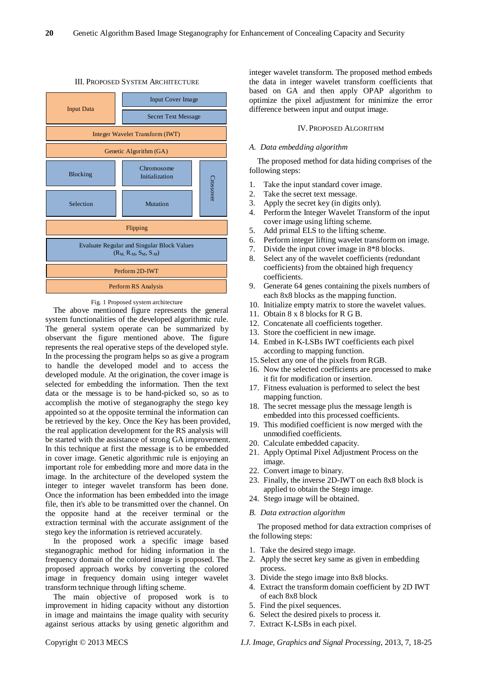

# III. PROPOSED SYSTEM ARCHITECTURE

#### Fig. 1 Proposed system architecture

The above mentioned figure represents the general system functionalities of the developed algorithmic rule. The general system operate can be summarized by observant the figure mentioned above. The figure represents the real operative steps of the developed style. In the processing the program helps so as give a program to handle the developed model and to access the developed module. At the origination, the cover image is selected for embedding the information. Then the text data or the message is to be hand-picked so, so as to accomplish the motive of steganography the stego key appointed so at the opposite terminal the information can be retrieved by the key. Once the Key has been provided, the real application development for the RS analysis will be started with the assistance of strong GA improvement. In this technique at first the message is to be embedded in cover image. Genetic algorithmic rule is enjoying an important role for embedding more and more data in the image. In the architecture of the developed system the integer to integer wavelet transform has been done. Once the information has been embedded into the image file, then it's able to be transmitted over the channel. On the opposite hand at the receiver terminal or the extraction terminal with the accurate assignment of the stego key the information is retrieved accurately.

In the proposed work a specific image based steganographic method for hiding information in the frequency domain of the colored image is proposed. The proposed approach works by converting the colored image in frequency domain using integer wavelet transform technique through lifting scheme.

The main objective of proposed work is to improvement in hiding capacity without any distortion in image and maintains the image quality with security against serious attacks by using genetic algorithm and integer wavelet transform. The proposed method embeds the data in integer wavelet transform coefficients that based on GA and then apply OPAP algorithm to optimize the pixel adjustment for minimize the error difference between input and output image.

# IV. PROPOSED ALGORITHM

#### *A. Data embedding algorithm*

The proposed method for data hiding comprises of the following steps:

- 1. Take the input standard cover image.
- 2. Take the secret text message.
- 3. Apply the secret key (in digits only).
- 4. Perform the Integer Wavelet Transform of the input cover image using lifting scheme.
- 5. Add primal ELS to the lifting scheme.
- 6. Perform integer lifting wavelet transform on image.
- 7. Divide the input cover image in 8\*8 blocks.
- 8. Select any of the wavelet coefficients (redundant coefficients) from the obtained high frequency coefficients.
- 9. Generate 64 genes containing the pixels numbers of each 8x8 blocks as the mapping function.
- 10. Initialize empty matrix to store the wavelet values.
- 11. Obtain 8 x 8 blocks for R G B.
- 12. Concatenate all coefficients together.
- 13. Store the coefficient in new image.
- 14. Embed in K-LSBs IWT coefficients each pixel according to mapping function.
- 15.Select any one of the pixels from RGB.
- 16. Now the selected coefficients are processed to make it fit for modification or insertion.
- 17. Fitness evaluation is performed to select the best mapping function.
- 18. The secret message plus the message length is embedded into this processed coefficients.
- 19. This modified coefficient is now merged with the unmodified coefficients.
- 20. Calculate embedded capacity.
- 21. Apply Optimal Pixel Adjustment Process on the image.
- 22. Convert image to binary.
- 23. Finally, the inverse 2D-IWT on each 8x8 block is applied to obtain the Stego image.
- 24. Stego image will be obtained.
- *B. Data extraction algorithm*

The proposed method for data extraction comprises of the following steps:

- 1. Take the desired stego image.
- 2. Apply the secret key same as given in embedding process.
- 3. Divide the stego image into 8x8 blocks.
- 4. Extract the transform domain coefficient by 2D IWT of each 8x8 block
- 5. Find the pixel sequences.
- 6. Select the desired pixels to process it.
- 7. Extract K-LSBs in each pixel.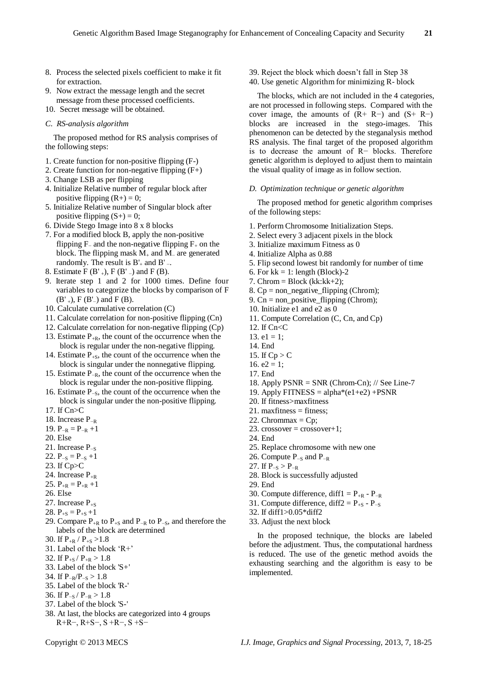- 8. Process the selected pixels coefficient to make it fit for extraction.
- 9. Now extract the message length and the secret message from these processed coefficients.
- 10. Secret message will be obtained.
- *C. RS-analysis algorithm*

The proposed method for RS analysis comprises of the following steps:

- 1. Create function for non-positive flipping (F-)
- 2. Create function for non-negative flipping (F+)
- 3. Change LSB as per flipping
- 4. Initialize Relative number of regular block after positive flipping  $(R+) = 0$ ;
- 5. Initialize Relative number of Singular block after positive flipping  $(S+) = 0$ ;
- 6. Divide Stego Image into 8 x 8 blocks
- 7. For a modified block B, apply the non-positive flipping F<sub>−</sub> and the non-negative flipping  $F_+$  on the block. The flipping mask M<sup>+</sup> and M<sup>−</sup> are generated randomly. The result is  $B'_{+}$  and  $B'_{-}$ .
- 8. Estimate  $F(B'_{+})$ ,  $F(B'_{-})$  and  $F(B)$ .
- 9. Iterate step 1 and 2 for 1000 times. Define four variables to categorize the blocks by comparison of F  $(B'_{+})$ , F  $(B'_{-})$  and F  $(B)$ .
- 10. Calculate cumulative correlation (C)
- 11. Calculate correlation for non-positive flipping (Cn)
- 12. Calculate correlation for non-negative flipping (Cp)
- 13. Estimate  $P_{+R}$ , the count of the occurrence when the block is regular under the non-negative flipping.
- 14. Estimate  $P_{+S}$ , the count of the occurrence when the block is singular under the nonnegative flipping.
- 15. Estimate P−R, the count of the occurrence when the block is regular under the non-positive flipping.
- 16. Estimate P−S, the count of the occurrence when the block is singular under the non-positive flipping.
- 17. If Cn>C
- 18. Increase P−R
- 19.  $P_{-R} = P_{-R} + 1$
- 20. Else
- 21. Increase P<sub>-S</sub>
- 22.  $P_{-S} = P_{-S} + 1$
- 23. If Cp>C
- 24. Increase  $P_{+R}$
- 25.  $P_{+R} = P_{+R} + 1$
- 26. Else
- 27. Increase  $P_{+S}$
- 28.  $P_{+S} = P_{+S} + 1$
- 29. Compare  $P_{+R}$  to  $P_{+S}$  and  $P_{-R}$  to  $P_{-S}$ , and therefore the labels of the block are determined
- 30. If  $P_{+R}$  /  $P_{+S}$  >1.8
- 31. Label of the block 'R+'
- 32. If  $P_{+S}/P_{+R} > 1.8$
- 33. Label of the block 'S+'
- 34. If  $P_{-R}/P_{-S} > 1.8$
- 35. Label of the block 'R-'
- 36. If  $P_{-S}/P_{-R} > 1.8$
- 37. Label of the block 'S-'
- 38. At last, the blocks are categorized into 4 groups R+R−, R+S−, S +R−, S +S−
- 39. Reject the block which doesn't fall in Step 38
- 40. Use genetic Algorithm for minimizing R- block

The blocks, which are not included in the 4 categories, are not processed in following steps. Compared with the cover image, the amounts of  $(R+ R-)$  and  $(S+ R-)$ blocks are increased in the stego-images. This phenomenon can be detected by the steganalysis method RS analysis. The final target of the proposed algorithm is to decrease the amount of R− blocks. Therefore genetic algorithm is deployed to adjust them to maintain the visual quality of image as in follow section.

### *D. Optimization technique or genetic algorithm*

The proposed method for genetic algorithm comprises of the following steps:

- 1. Perform Chromosome Initialization Steps.
- 2. Select every 3 adjacent pixels in the block
- 3. Initialize maximum Fitness as 0
- 4. Initialize Alpha as 0.88
- 5. Flip second lowest bit randomly for number of time
- 6. For  $kk = 1$ : length (Block)-2
- 7. Chrom = Block (kk: $kk+2$ );
- 8.  $Cp = non\text{ negative flipping (Chrom)}$ ;
- 9.  $Cn = non-positive_flipping (Chrom);$
- 10. Initialize e1 and e2 as 0
- 11. Compute Correlation (C, Cn, and Cp)
- 12. If Cn<C
- 13.  $e1 = 1$ ;
- 14. End
- 15. If  $Cp > C$
- 16.  $e2 = 1$ ;
- 17. End
- 18. Apply  $PSNR = SNR$  (Chrom-Cn); // See Line-7
- 19. Apply  $FITNESS = alpha*(e1+e2) + PSNR$
- 20. If fitness>maxfitness
- 21. maxfitness = fitness;
- 22. Chrommax =  $Cp$ ;
- 23. crossover =  $\cos$ sover + 1;
- 24. End
- 25. Replace chromosome with new one
- 26. Compute  $P_{-S}$  and  $P_{-R}$
- 27. If  $P_{-S} > P_{-R}$
- 28. Block is successfully adjusted
- 29. End
- 30. Compute difference, diff1 =  $P_{+R}$   $P_{-R}$
- 31. Compute difference, diff2 =  $P_{+S}$   $P_{-S}$
- 32. If diff1>0.05\*diff2
- 33. Adjust the next block

In the proposed technique, the blocks are labeled before the adjustment. Thus, the computational hardness is reduced. The use of the genetic method avoids the exhausting searching and the algorithm is easy to be implemented.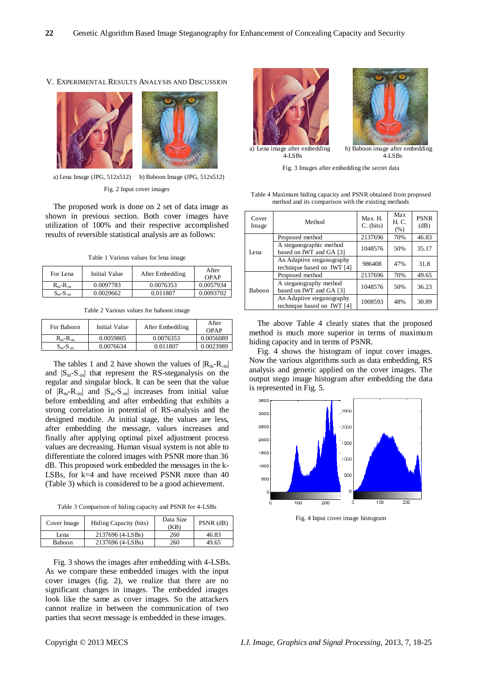#### V. EXPERIMENTAL RESULTS ANALYSIS AND DISCUSSION



a) Lena Image (JPG, 512x512) b) Baboon Image (JPG, 512x512) Fig. 2 Input cover images

The proposed work is done on 2 set of data image as shown in previous section. Both cover images have utilization of 100% and their respective accomplished results of reversible statistical analysis are as follows:

Table 1 Various values for lena image

| For Lena                   | Initial Value | After Embedding | After<br>OPAP |
|----------------------------|---------------|-----------------|---------------|
| $R_m - R_m$                | 0.0097783     | 0.0076353       | 0.0057934     |
| $S_{\rm m}$ - $S_{\rm -m}$ | 0.0029662     | 0.011807        | 0.0093702     |

Table 2 Various values for baboon image

| For Baboon                 | Initial Value | After Embedding | After<br>OPAP |
|----------------------------|---------------|-----------------|---------------|
| $R_m - R_m$                | 0.0059805     | 0.0076353       | 0.0056089     |
| $S_{\rm m}$ - $S_{\rm -m}$ | 0.0076634     | 0.011807        | 0.0023989     |

The tables 1 and 2 have shown the values of  $|R_{m}-R_{m}|$ and  $|S_m-S_m|$  that represent the RS-steganalysis on the regular and singular block. It can be seen that the value of  $|R_m-R_m|$  and  $|S_m-S_m|$  increases from initial value before embedding and after embedding that exhibits a strong correlation in potential of RS-analysis and the designed module. At initial stage, the values are less, after embedding the message, values increases and finally after applying optimal pixel adjustment process values are decreasing. Human visual system is not able to differentiate the colored images with PSNR more than 36 dB. This proposed work embedded the messages in the k-LSBs, for k=4 and have received PSNR more than 40 (Table 3) which is considered to be a good achievement.

Table 3 Comparison of hiding capacity and PSNR for 4-LSBs

| Cover Image | Hiding Capacity (bits) | Data Size<br>(KB) | $PSNR$ (dB) |
|-------------|------------------------|-------------------|-------------|
| Lena        | 2137696 (4-LSBs)       | 260               | 46.83       |
| Baboon      | 2137696 (4-LSBs)       | 260               | 49.65       |

Fig. 3 shows the images after embedding with 4-LSBs. As we compare these embedded images with the input cover images (fig. 2), we realize that there are no significant changes in images. The embedded images look like the same as cover images. So the attackers cannot realize in between the communication of two parties that secret message is embedded in these images.





a) Lena image after embedding  $4-I$  SBs

b) Baboon image after embedding<br>4-LSBs

Fig. 3 Images after embedding the secret data

Table 4 Maximum hiding capacity and PSNR obtained from proposed method and its comparison with the existing methods

| Cover<br>Image | Method                                                  | Max. H.<br>$C.$ (bits) | Max<br>H. C.<br>(% ) | <b>PSNR</b><br>(dB) |
|----------------|---------------------------------------------------------|------------------------|----------------------|---------------------|
| I ena          | Proposed method                                         | 2137696                | 70%                  | 46.83               |
|                | A steganographic method<br>based on IWT and GA [3]      | 1048576                | 50%                  | 35.17               |
|                | An Adaptive steganography<br>technique based on IWT [4] | 986408                 | 47%                  | 31.8                |
| <b>Baboon</b>  | Proposed method                                         | 2137696                | 70%                  | 49.65               |
|                | A steganography method<br>based on IWT and GA [3]       | 1048576                | 50%                  | 36.23               |
|                | An Adaptive steganography<br>technique based on IWT [4] | 1008593                | 48%                  | 30.89               |

The above Table 4 clearly states that the proposed method is much more superior in terms of maximum hiding capacity and in terms of PSNR.

Fig. 4 shows the histogram of input cover images. Now the various algorithms such as data embedding, RS analysis and genetic applied on the cover images. The output stego image histogram after embedding the data is represented in Fig. 5.



Fig. 4 Input cover image histogram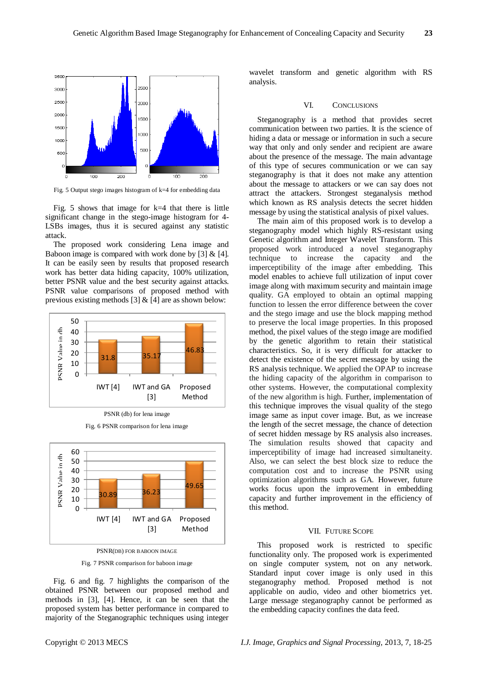

Fig. 5 Output stego images histogram of k=4 for embedding data

Fig. 5 shows that image for  $k=4$  that there is little significant change in the stego-image histogram for 4- LSBs images, thus it is secured against any statistic attack.

The proposed work considering Lena image and Baboon image is compared with work done by  $[3] \& [4]$ . It can be easily seen by results that proposed research work has better data hiding capacity, 100% utilization, better PSNR value and the best security against attacks. PSNR value comparisons of proposed method with previous existing methods [3]  $&$  [4] are as shown below:



PSNR (db) for lena image





PSNR(DB) FOR BABOON IMAGE

Fig. 7 PSNR comparison for baboon image

Fig. 6 and fig. 7 highlights the comparison of the obtained PSNR between our proposed method and methods in [3], [4]. Hence, it can be seen that the proposed system has better performance in compared to majority of the Steganographic techniques using integer

wavelet transform and genetic algorithm with RS analysis.

#### VI. CONCLUSIONS

Steganography is a method that provides secret communication between two parties. It is the science of hiding a data or message or information in such a secure way that only and only sender and recipient are aware about the presence of the message. The main advantage of this type of secures communication or we can say steganography is that it does not make any attention about the message to attackers or we can say does not attract the attackers. Strongest steganalysis method which known as RS analysis detects the secret hidden message by using the statistical analysis of pixel values.

The main aim of this proposed work is to develop a steganography model which highly RS-resistant using Genetic algorithm and Integer Wavelet Transform. This proposed work introduced a novel steganography technique to increase the capacity and the imperceptibility of the image after embedding. This model enables to achieve full utilization of input cover image along with maximum security and maintain image quality. GA employed to obtain an optimal mapping function to lessen the error difference between the cover and the stego image and use the block mapping method to preserve the local image properties. In this proposed method, the pixel values of the stego image are modified by the genetic algorithm to retain their statistical characteristics. So, it is very difficult for attacker to detect the existence of the secret message by using the RS analysis technique. We applied the OPAP to increase the hiding capacity of the algorithm in comparison to other systems. However, the computational complexity of the new algorithm is high. Further, implementation of this technique improves the visual quality of the stego image same as input cover image. But, as we increase the length of the secret message, the chance of detection of secret hidden message by RS analysis also increases. The simulation results showed that capacity and imperceptibility of image had increased simultaneity. Also, we can select the best block size to reduce the computation cost and to increase the PSNR using optimization algorithms such as GA. However, future works focus upon the improvement in embedding capacity and further improvement in the efficiency of this method.

# VII. FUTURE SCOPE

This proposed work is restricted to specific functionality only. The proposed work is experimented on single computer system, not on any network. Standard input cover image is only used in this steganography method. Proposed method is not applicable on audio, video and other biometrics yet. Large message steganography cannot be performed as the embedding capacity confines the data feed.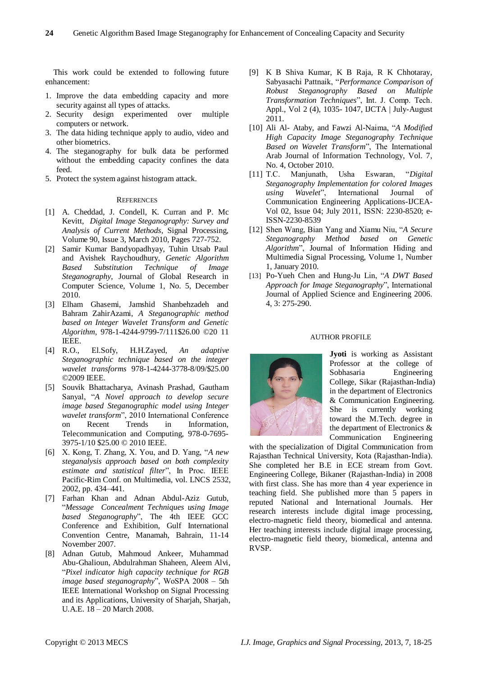This work could be extended to following future enhancement:

- 1. Improve the data embedding capacity and more security against all types of attacks.
- 2. Security design experimented over multiple computers or network.
- 3. The data hiding technique apply to audio, video and other biometrics.
- 4. The steganography for bulk data be performed without the embedding capacity confines the data feed.
- 5. Protect the system against histogram attack.

# **REFERENCES**

- [1] A. Cheddad, J. Condell, K. Curran and P. Mc Kevitt, *Digital Image Steganography: Survey and Analysis of Current Methods*, Signal Processing, Volume 90, Issue 3, March 2010, Pages 727-752.
- [2] Samir Kumar Bandyopadhyay, Tuhin Utsab Paul and Avishek Raychoudhury, *Genetic Algorithm Based Substitution Technique of Image Steganography*, Journal of Global Research in Computer Science, Volume 1, No. 5, December 2010.
- [3] Elham Ghasemi, Jamshid Shanbehzadeh and Bahram ZahirAzami, *A Steganographic method based on Integer Wavelet Transform and Genetic Algorithm*, 978-1-4244-9799-7/111\$26.00 ©20 11 IEEE.<br>[4] R.O.,
- [4] R.O., El.Sofy, H.H.Zayed, *An adaptive Steganographic technique based on the integer wavelet transforms* 978-1-4244-3778-8/09/\$25.00 ©2009 IEEE.
- [5] Souvik Bhattacharya, Avinash Prashad, Gautham Sanyal, "A Novel approach to develop secure *image based Steganographic model using Integer*  wavelet transform", 2010 International Conference on Recent Trends in Information, Telecommunication and Computing, 978-0-7695- 3975-1/10 \$25.00 © 2010 IEEE.
- [6] X. Kong, T. Zhang, X. You, and D. Yang, "A new *steganalysis approach based on both complexity*  estimate and statistical filter", In Proc. IEEE Pacific-Rim Conf. on Multimedia, vol. LNCS 2532, 2002, pp. 434–441.
- [7] Farhan Khan and Adnan Abdul-Aziz Gutub, ―*Message Concealment Techniques using Image*  based Steganography", The 4th IEEE GCC Conference and Exhibition, Gulf International Convention Centre, Manamah, Bahrain, 11-14 November 2007.
- [8] Adnan Gutub, Mahmoud Ankeer, Muhammad Abu-Ghalioun, Abdulrahman Shaheen, Aleem Alvi, ―*Pixel indicator high capacity technique for RGB image based steganography*", WoSPA 2008 - 5th IEEE International Workshop on Signal Processing and its Applications, University of Sharjah, Sharjah, U.A.E. 18 – 20 March 2008.
- [9] K B Shiva Kumar, K B Raja, R K Chhotaray, Sabyasachi Pattnaik, "Performance Comparison of *Robust Steganography Based on Multiple Transformation Techniques*‖, Int. J. Comp. Tech. Appl., Vol 2 (4), 1035- 1047, IJCTA | July-August 2011.
- [10] Ali Al- Ataby, and Fawzi Al-Naima, "A Modified *High Capacity Image Steganography Technique Based on Wavelet Transform*". The International Arab Journal of Information Technology, Vol. 7, No. 4, October 2010.<br>[11] T.C. Manjunath,
- [11] T.C. Manjunath, Usha Eswaran, ―*Digital Steganography Implementation for colored Images*  using Wavelet", International Journal of Communication Engineering Applications-IJCEA-Vol 02, Issue 04; July 2011, ISSN: 2230-8520; e-ISSN-2230-8539
- [12] Shen Wang, Bian Yang and Xiamu Niu, "A Secure *Steganography Method based on Genetic Algorithm*‖, Journal of Information Hiding and Multimedia Signal Processing, Volume 1, Number 1, January 2010.
- [13] Po-Yueh Chen and Hung-Ju Lin, "A DWT Based *Approach for Image Steganography*‖, International Journal of Applied Science and Engineering 2006. 4, 3: 275-290.

# AUTHOR PROFILE



**Jyoti** is working as Assistant Professor at the college of<br>Sobhasaria Engineering Engineering College, Sikar (Rajasthan-India) in the department of Electronics & Communication Engineering. She is currently working toward the M.Tech. degree in the department of Electronics & Communication Engineering

with the specialization of Digital Communication from Rajasthan Technical University, Kota (Rajasthan-India). She completed her B.E in ECE stream from Govt. Engineering College, Bikaner (Rajasthan-India) in 2008 with first class. She has more than 4 year experience in teaching field. She published more than 5 papers in reputed National and International Journals. Her research interests include digital image processing, electro-magnetic field theory, biomedical and antenna. Her teaching interests include digital image processing, electro-magnetic field theory, biomedical, antenna and RVSP.